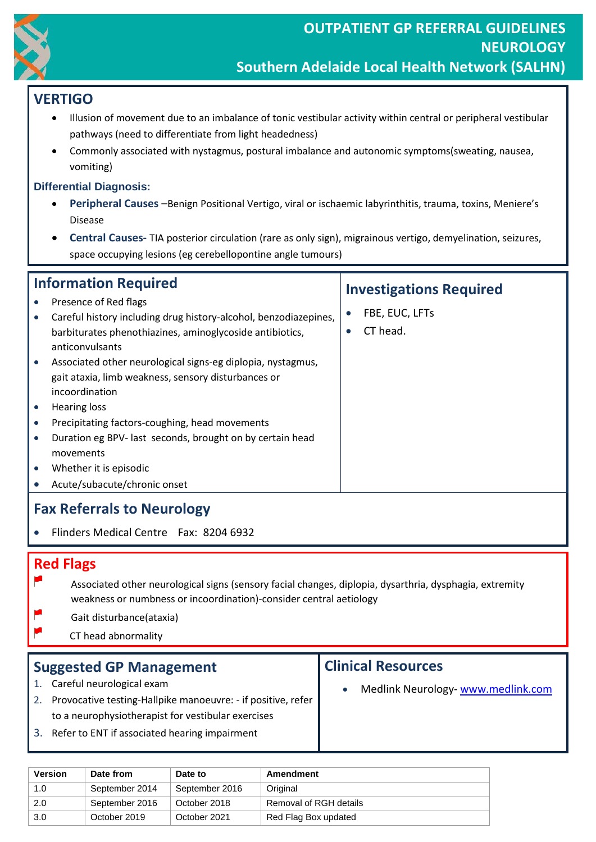

# **VERTIGO**

- Illusion of movement due to an imbalance of tonic vestibular activity within central or peripheral vestibular pathways (need to differentiate from light headedness)
- Commonly associated with nystagmus, postural imbalance and autonomic symptoms(sweating, nausea, vomiting)

### **Differential Diagnosis:**

- **Peripheral Causes** –Benign Positional Vertigo, viral or ischaemic labyrinthitis, trauma, toxins, Meniere's Disease
- **Central Causes-** TIA posterior circulation (rare as only sign), migrainous vertigo, demyelination, seizures, space occupying lesions (eg cerebellopontine angle tumours)

| <b>Information Required</b>       |                                                                                                                                                                                                                                                                                                | <b>Investigations Required</b> |                            |  |
|-----------------------------------|------------------------------------------------------------------------------------------------------------------------------------------------------------------------------------------------------------------------------------------------------------------------------------------------|--------------------------------|----------------------------|--|
|                                   | Presence of Red flags<br>Careful history including drug history-alcohol, benzodiazepines,<br>barbiturates phenothiazines, aminoglycoside antibiotics,<br>anticonvulsants<br>Associated other neurological signs-eg diplopia, nystagmus,<br>gait ataxia, limb weakness, sensory disturbances or | $\bullet$<br>$\bullet$         | FBE, EUC, LFTs<br>CT head. |  |
| $\bullet$<br>$\bullet$            | incoordination<br>Hearing loss<br>Precipitating factors-coughing, head movements<br>Duration eg BPV- last seconds, brought on by certain head<br>movements<br>Whether it is episodic<br>Acute/subacute/chronic onset                                                                           |                                |                            |  |
| <b>Fax Referrals to Neurology</b> |                                                                                                                                                                                                                                                                                                |                                |                            |  |

• Flinders Medical Centre Fax: 8204 6932

## **Red Flags**

- y. Associated other neurological signs (sensory facial changes, diplopia, dysarthria, dysphagia, extremity weakness or numbness or incoordination)-consider central aetiology
- Gait disturbance(ataxia)
- CT head abnormality

### **Suggested GP Management**

- 1. Careful neurological exam
- 2. Provocative testing-Hallpike manoeuvre: if positive, refer to a neurophysiotherapist for vestibular exercises
- 3. Refer to ENT if associated hearing impairment

### **Clinical Resources**

Medlink Neurology- [www.medlink.com](http://www.medlink.com/)

| <b>Version</b> | Date from      | Date to        | Amendment              |
|----------------|----------------|----------------|------------------------|
| 1.0            | September 2014 | September 2016 | Original               |
| 2.0            | September 2016 | October 2018   | Removal of RGH details |
| 3.0            | October 2019   | October 2021   | Red Flag Box updated   |